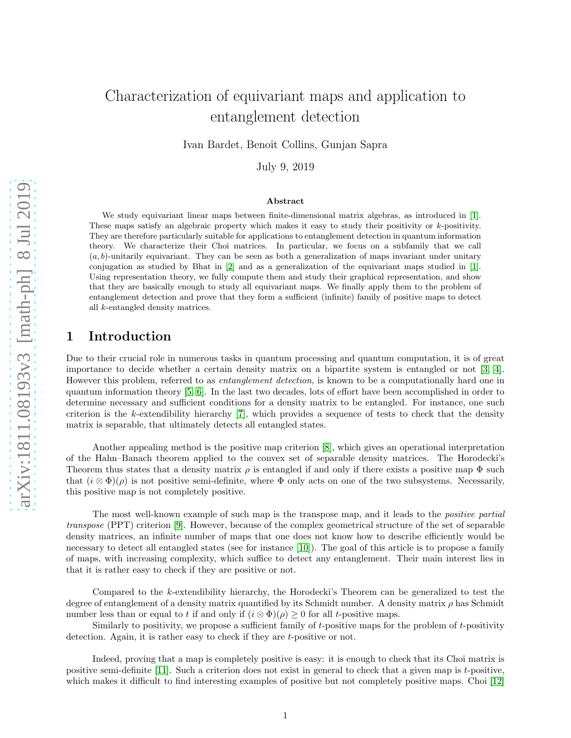# Characterization of equivariant maps and application to entanglement detection

Ivan Bardet, Benoît Collins, Gunjan Sapra

July 9, 2019

#### Abstract

We study equivariant linear maps between finite-dimensional matrix algebras, as introduced in [\[1\]](#page-14-0). These maps satisfy an algebraic property which makes it easy to study their positivity or  $k$ -positivity. They are therefore particularly suitable for applications to entanglement detection in quantum information theory. We characterize their Choi matrices. In particular, we focus on a subfamily that we call  $(a, b)$ -unitarily equivariant. They can be seen as both a generalization of maps invariant under unitary conjugation as studied by Bhat in [\[2\]](#page-14-1) and as a generalization of the equivariant maps studied in [\[1\]](#page-14-0). Using representation theory, we fully compute them and study their graphical representation, and show that they are basically enough to study all equivariant maps. We finally apply them to the problem of entanglement detection and prove that they form a sufficient (infinite) family of positive maps to detect all k-entangled density matrices.

# 1 Introduction

Due to their crucial role in numerous tasks in quantum processing and quantum computation, it is of great importance to decide whether a certain density matrix on a bipartite system is entangled or not [\[3,](#page-14-2) [4\]](#page-14-3). However this problem, referred to as *entanglement detection*, is known to be a computationally hard one in quantum information theory [\[5,](#page-14-4) [6\]](#page-14-5). In the last two decades, lots of effort have been accomplished in order to determine necessary and sufficient conditions for a density matrix to be entangled. For instance, one such criterion is the k-extendibility hierarchy [\[7\]](#page-14-6), which provides a sequence of tests to check that the density matrix is separable, that ultimately detects all entangled states.

Another appealing method is the positive map criterion [\[8\]](#page-14-7), which gives an operational interpretation of the Hahn–Banach theorem applied to the convex set of separable density matrices. The Horodecki's Theorem thus states that a density matrix  $\rho$  is entangled if and only if there exists a positive map  $\Phi$  such that  $(i \otimes \Phi)(\rho)$  is not positive semi-definite, where  $\Phi$  only acts on one of the two subsystems. Necessarily, this positive map is not completely positive.

The most well-known example of such map is the transpose map, and it leads to the *positive partial* transpose (PPT) criterion [\[9\]](#page-14-8). However, because of the complex geometrical structure of the set of separable density matrices, an infinite number of maps that one does not know how to describe efficiently would be necessary to detect all entangled states (see for instance [10]). The goal of this article is to propose a family of maps, with increasing complexity, which suffice to detect any entanglement. Their main interest lies in that it is rather easy to check if they are positive or not.

Compared to the k-extendibility hierarchy, the Horodecki's Theorem can be generalized to test the degree of entanglement of a density matrix quantified by its Schmidt number. A density matrix  $\rho$  has Schmidt number less than or equal to t if and only if  $(i \otimes \Phi)(\rho) \geq 0$  for all t-positive maps.

Similarly to positivity, we propose a sufficient family of t-positive maps for the problem of t-positivity detection. Again, it is rather easy to check if they are t-positive or not.

Indeed, proving that a map is completely positive is easy: it is enough to check that its Choi matrix is positive semi-definite [\[11\]](#page-15-0). Such a criterion does not exist in general to check that a given map is t-positive, which makes it difficult to find interesting examples of positive but not completely positive maps. Choi [\[12\]](#page-15-1)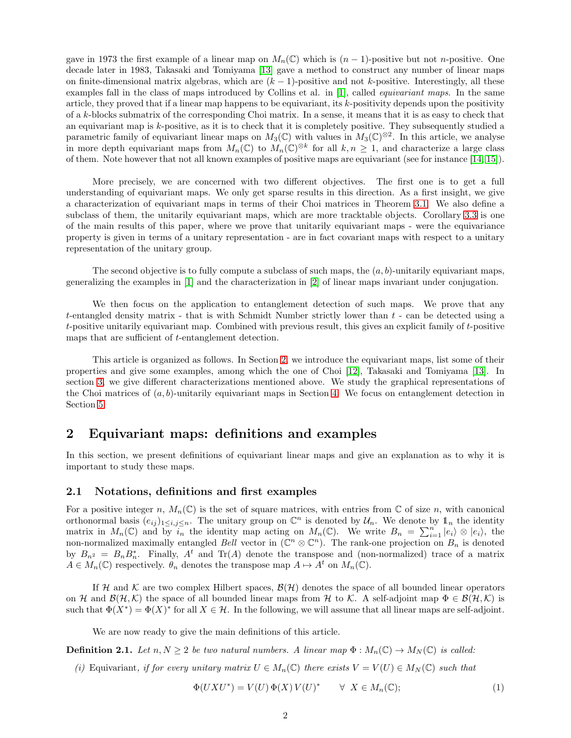gave in 1973 the first example of a linear map on  $M_n(\mathbb{C})$  which is  $(n-1)$ -positive but not n-positive. One decade later in 1983, Takasaki and Tomiyama [\[13\]](#page-15-2) gave a method to construct any number of linear maps on finite-dimensional matrix algebras, which are  $(k-1)$ -positive and not k-positive. Interestingly, all these examples fall in the class of maps introduced by Collins et al. in [\[1\]](#page-14-0), called equivariant maps. In the same article, they proved that if a linear map happens to be equivariant, its k-positivity depends upon the positivity of a k-blocks submatrix of the corresponding Choi matrix. In a sense, it means that it is as easy to check that an equivariant map is k-positive, as it is to check that it is completely positive. They subsequently studied a parametric family of equivariant linear maps on  $M_3(\mathbb{C})$  with values in  $M_3(\mathbb{C})^{\otimes 2}$ . In this article, we analyse in more depth equivariant maps from  $M_n(\mathbb{C})$  to  $M_n(\mathbb{C})^{\otimes k}$  for all  $k, n \geq 1$ , and characterize a large class of them. Note however that not all known examples of positive maps are equivariant (see for instance [\[14,](#page-15-3) [15\]](#page-15-4)).

More precisely, we are concerned with two different objectives. The first one is to get a full understanding of equivariant maps. We only get sparse results in this direction. As a first insight, we give a characterization of equivariant maps in terms of their Choi matrices in Theorem [3.1.](#page-4-0) We also define a subclass of them, the unitarily equivariant maps, which are more tracktable objects. Corollary [3.3](#page-6-0) is one of the main results of this paper, where we prove that unitarily equivariant maps - were the equivariance property is given in terms of a unitary representation - are in fact covariant maps with respect to a unitary representation of the unitary group.

The second objective is to fully compute a subclass of such maps, the  $(a, b)$ -unitarily equivariant maps, generalizing the examples in [\[1\]](#page-14-0) and the characterization in [\[2\]](#page-14-1) of linear maps invariant under conjugation.

We then focus on the application to entanglement detection of such maps. We prove that any t-entangled density matrix - that is with Schmidt Number strictly lower than  $t$  - can be detected using a t-positive unitarily equivariant map. Combined with previous result, this gives an explicit family of t-positive maps that are sufficient of t-entanglement detection.

This article is organized as follows. In Section [2,](#page-1-0) we introduce the equivariant maps, list some of their properties and give some examples, among which the one of Choi [\[12\]](#page-15-1), Takasaki and Tomiyama [\[13\]](#page-15-2). In section [3,](#page-4-1) we give different characterizations mentioned above. We study the graphical representations of the Choi matrices of  $(a, b)$ -unitarily equivariant maps in Section [4.](#page-8-0) We focus on entanglement detection in Section [5.](#page-11-0)

### <span id="page-1-0"></span>2 Equivariant maps: definitions and examples

In this section, we present definitions of equivariant linear maps and give an explanation as to why it is important to study these maps.

#### 2.1 Notations, definitions and first examples

For a positive integer n,  $M_n(\mathbb{C})$  is the set of square matrices, with entries from  $\mathbb C$  of size n, with canonical orthonormal basis  $(e_{ij})_{1\leq i,j\leq n}$ . The unitary group on  $\mathbb{C}^n$  is denoted by  $\mathcal{U}_n$ . We denote by  $\mathbb{1}_n$  the identity matrix in  $M_n(\mathbb{C})$  and by  $i_n$  the identity map acting on  $M_n(\mathbb{C})$ . We write  $B_n = \sum_{i=1}^n |e_i\rangle \otimes |e_i\rangle$ , the non-normalized maximally entangled Bell vector in  $(\mathbb{C}^n \otimes \mathbb{C}^n)$ . The rank-one projection on  $B_n$  is denoted by  $B_{n^2} = B_n B_n^*$ . Finally,  $A^t$  and Tr(A) denote the transpose and (non-normalized) trace of a matrix  $A \in M_n(\mathbb{C})$  respectively.  $\theta_n$  denotes the transpose map  $A \mapsto A^t$  on  $M_n(\mathbb{C})$ .

If H and K are two complex Hilbert spaces,  $\mathcal{B}(\mathcal{H})$  denotes the space of all bounded linear operators on H and  $\mathcal{B}(\mathcal{H},\mathcal{K})$  the space of all bounded linear maps from H to K. A self-adjoint map  $\Phi \in \mathcal{B}(\mathcal{H},\mathcal{K})$  is such that  $\Phi(X^*) = \Phi(X)^*$  for all  $X \in \mathcal{H}$ . In the following, we will assume that all linear maps are self-adjoint.

We are now ready to give the main definitions of this article.

**Definition 2.1.** Let  $n, N \geq 2$  be two natural numbers. A linear map  $\Phi : M_n(\mathbb{C}) \to M_N(\mathbb{C})$  is called:

(i) Equivariant, if for every unitary matrix  $U \in M_n(\mathbb{C})$  there exists  $V = V(U) \in M_N(\mathbb{C})$  such that

<span id="page-1-1"></span>
$$
\Phi(UXU^*) = V(U)\,\Phi(X)\,V(U)^* \qquad \forall \ X \in M_n(\mathbb{C});\tag{1}
$$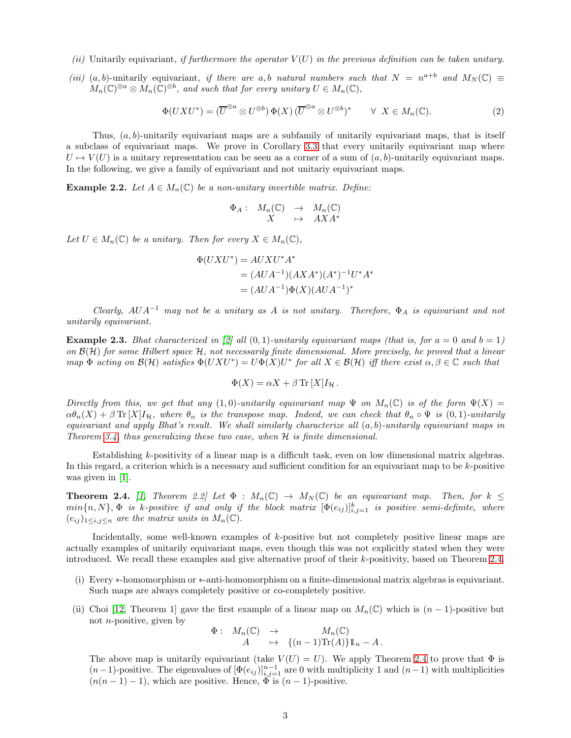- (ii) Unitarily equivariant, if furthermore the operator  $V(U)$  in the previous definition can be taken unitary.
- (iii) (a, b)-unitarily equivariant, if there are a, b natural numbers such that  $N = n^{a+b}$  and  $M_N(\mathbb{C}) \equiv$  $M_n(\mathbb{C})^{\otimes a} \otimes M_n(\mathbb{C})^{\otimes b}$ , and such that for every unitary  $U \in M_n(\mathbb{C})$ ,

<span id="page-2-1"></span>
$$
\Phi(UXU^*) = (\overline{U}^{\otimes a} \otimes U^{\otimes b}) \Phi(X) (\overline{U}^{\otimes a} \otimes U^{\otimes b})^* \qquad \forall \ X \in M_n(\mathbb{C}). \tag{2}
$$

Thus,  $(a, b)$ -unitarily equivariant maps are a subfamily of unitarily equivariant maps, that is itself a subclass of equivariant maps. We prove in Corollary [3.3](#page-6-0) that every unitarily equivariant map where  $U \mapsto V(U)$  is a unitary representation can be seen as a corner of a sum of  $(a, b)$ -unitarily equivariant maps. In the following, we give a family of equivariant and not unitariy equivariant maps.

**Example 2.2.** Let  $A \in M_n(\mathbb{C})$  be a non-unitary invertible matrix. Define:

$$
\begin{array}{cccc}\n\Phi_A: & M_n(\mathbb{C}) & \to & M_n(\mathbb{C})\\ & X & \mapsto & AXA^* \end{array}
$$

Let  $U \in M_n(\mathbb{C})$  be a unitary. Then for every  $X \in M_n(\mathbb{C}),$ 

$$
\Phi(UXU^*) = AUXU^*A^*
$$
  
=  $(AUA^{-1})(AXA^*)(A^*)^{-1}U^*A^*$   
=  $(AUA^{-1})\Phi(X)(AUA^{-1})^*$ 

Clearly,  $AUA^{-1}$  may not be a unitary as A is not unitary. Therefore,  $\Phi_A$  is equivariant and not unitarily equivariant.

**Example 2.3.** Bhat characterized in [\[2\]](#page-14-1) all  $(0, 1)$ -unitarily equivariant maps (that is, for  $a = 0$  and  $b = 1$ ) on  $\mathcal{B}(\mathcal{H})$  for some Hilbert space  $\mathcal{H}$ , not necessarily finite dimensional. More precisely, he proved that a linear map  $\Phi$  acting on  $\mathcal{B}(\mathcal{H})$  satisfies  $\Phi(UXU^*) = U\Phi(X)U^*$  for all  $X \in \mathcal{B}(\mathcal{H})$  iff there exist  $\alpha, \beta \in \mathbb{C}$  such that

$$
\Phi(X) = \alpha X + \beta \operatorname{Tr}[X] I_{\mathcal{H}}.
$$

Directly from this, we get that any (1,0)-unitarily equivariant map  $\Psi$  on  $M_n(\mathbb{C})$  is of the form  $\Psi(X)$  =  $\alpha\theta_n(X) + \beta \text{Tr}[X]I_{\mathcal{H}}$ , where  $\theta_n$  is the transpose map. Indeed, we can check that  $\theta_n \circ \Psi$  is  $(0,1)$ -unitarily equivariant and apply Bhat's result. We shall similarly characterize all  $(a, b)$ -unitarily equivariant maps in Theorem [3.4,](#page-7-0) thus generalizing these two case, when  $H$  is finite dimensional.

Establishing k-positivity of a linear map is a difficult task, even on low dimensional matrix algebras. In this regard, a criterion which is a necessary and sufficient condition for an equivariant map to be k-positive was given in [\[1\]](#page-14-0).

<span id="page-2-0"></span>**Theorem 2.4.** [\[1,](#page-14-0) Theorem 2.2] Let  $\Phi : M_n(\mathbb{C}) \to M_N(\mathbb{C})$  be an equivariant map. Then, for  $k \leq$  $min\{n, N\},$   $\Phi$  is k-positive if and only if the block matrix  $[\Phi(e_{ij})]_{i,j=1}^k$  is positive semi-definite, where  $(e_{ij})_{1\leq i,j\leq n}$  are the matrix units in  $M_n(\mathbb{C})$ .

Incidentally, some well-known examples of k-positive but not completely positive linear maps are actually examples of unitarily equivariant maps, even though this was not explicitly stated when they were introduced. We recall these examples and give alternative proof of their k-positivity, based on Theorem [2.4.](#page-2-0)

- (i) Every ∗-homomorphism or ∗-anti-homomorphism on a finite-dimensional matrix algebras is equivariant. Such maps are always completely positive or co-completely positive.
- (ii) Choi [\[12,](#page-15-1) Theorem 1] gave the first example of a linear map on  $M_n(\mathbb{C})$  which is  $(n-1)$ -positive but not  $n$ -positive, given by

$$
\begin{array}{rcl}\n\Phi : & M_n(\mathbb{C}) & \to & M_n(\mathbb{C}) \\
A & \mapsto & \{(n-1)\text{Tr}(A)\}1_n - A \, .\n\end{array}
$$

The above map is unitarily equivariant (take  $V(U) = U$ ). We apply Theorem [2.4](#page-2-0) to prove that  $\Phi$  is  $(n-1)$ -positive. The eigenvalues of  $[\Phi(e_{ij})]_{i,j=1}^{n-1}$  are 0 with multiplicity 1 and  $(n-1)$  with multiplicities  $(n(n-1)-1)$ , which are positive. Hence,  $\Phi$  is  $(n-1)$ -positive.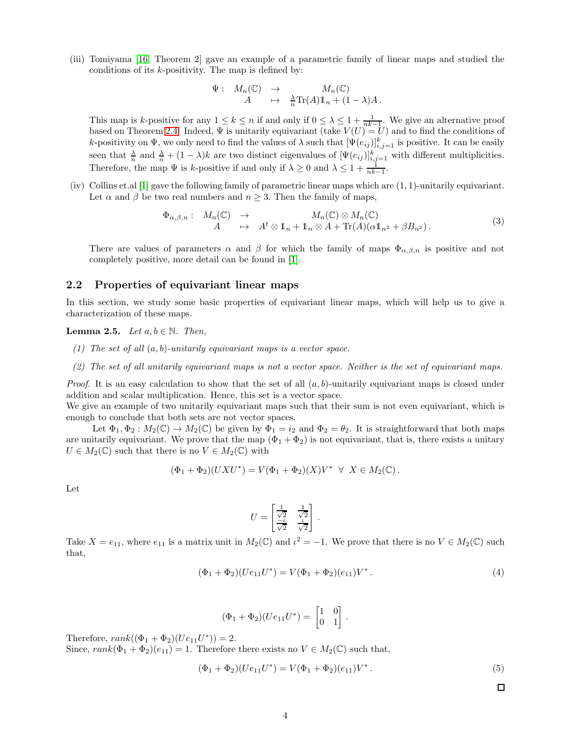(iii) Tomiyama [\[16,](#page-15-5) Theorem 2] gave an example of a parametric family of linear maps and studied the conditions of its  $k$ -positivity. The map is defined by:

$$
\Psi: M_n(\mathbb{C}) \to M_n(\mathbb{C})
$$
  

$$
A \mapsto \frac{\lambda}{n} \text{Tr}(A) 1 \mathbb{1}_n + (1 - \lambda) A.
$$

This map is k-positive for any  $1 \le k \le n$  if and only if  $0 \le \lambda \le 1 + \frac{1}{nk-1}$ . We give an alternative proof based on Theorem [2.4.](#page-2-0) Indeed,  $\Psi$  is unitarily equivariant (take  $V(U) = U$ ) and to find the conditions of k-positivity on  $\Psi$ , we only need to find the values of  $\lambda$  such that  $[\Psi(e_{ij})]_{i,j=1}^k$  is positive. It can be easily seen that  $\frac{\lambda}{n}$  and  $\frac{\lambda}{n} + (1 - \lambda)k$  are two distinct eigenvalues of  $[\Psi(e_{ij})]_{i,j=1}^k$  with different multiplicities. Therefore, the map  $\Psi$  is k-positive if and only if  $\lambda \geq 0$  and  $\lambda \leq 1 + \frac{1}{nk-1}$ .

(iv) Collins et.al  $[1]$  gave the following family of parametric linear maps which are  $(1, 1)$ -unitarily equivariant. Let  $\alpha$  and  $\beta$  be two real numbers and  $n \geq 3$ . Then the family of maps,

<span id="page-3-1"></span>
$$
\Phi_{\alpha,\beta,n} : M_n(\mathbb{C}) \to M_n(\mathbb{C}) \otimes M_n(\mathbb{C})
$$
  
\n
$$
A \mapsto A^t \otimes 1_n + 1_n \otimes A + \text{Tr}(A)(\alpha 1_{n^2} + \beta B_{n^2}).
$$
\n(3)

There are values of parameters  $\alpha$  and  $\beta$  for which the family of maps  $\Phi_{\alpha,\beta,n}$  is positive and not completely positive, more detail can be found in [\[1\]](#page-14-0).

#### 2.2 Properties of equivariant linear maps

<span id="page-3-0"></span>In this section, we study some basic properties of equivariant linear maps, which will help us to give a characterization of these maps.

#### **Lemma 2.5.** Let  $a, b \in \mathbb{N}$ . Then,

- (1) The set of all  $(a, b)$ -unitarily equivariant maps is a vector space.
- (2) The set of all unitarily equivariant maps is not a vector space. Neither is the set of equivariant maps.

*Proof.* It is an easy calculation to show that the set of all  $(a, b)$ -unitarily equivariant maps is closed under addition and scalar multiplication. Hence, this set is a vector space.

We give an example of two unitarily equivariant maps such that their sum is not even equivariant, which is enough to conclude that both sets are not vector spaces.

Let  $\Phi_1, \Phi_2 : M_2(\mathbb{C}) \to M_2(\mathbb{C})$  be given by  $\Phi_1 = i_2$  and  $\Phi_2 = \theta_2$ . It is straightforward that both maps are unitarily equivariant. We prove that the map  $(\Phi_1 + \Phi_2)$  is not equivariant, that is, there exists a unitary  $U \in M_2(\mathbb{C})$  such that there is no  $V \in M_2(\mathbb{C})$  with

$$
(\Phi_1 + \Phi_2)(UXU^*) = V(\Phi_1 + \Phi_2)(X)V^* \ \ \forall \ \ X \in M_2(\mathbb{C}).
$$

Let

$$
U = \begin{bmatrix} \frac{1}{\sqrt{2}} & \frac{1}{\sqrt{2}} \\ \frac{-t}{\sqrt{2}} & \frac{t}{\sqrt{2}} \end{bmatrix}.
$$

Take  $X = e_{11}$ , where  $e_{11}$  is a matrix unit in  $M_2(\mathbb{C})$  and  $\iota^2 = -1$ . We prove that there is no  $V \in M_2(\mathbb{C})$  such that,

$$
(\Phi_1 + \Phi_2)(Ue_{11}U^*) = V(\Phi_1 + \Phi_2)(e_{11})V^*.
$$
\n(4)

$$
(\Phi_1 + \Phi_2)(Ue_{11}U^*) = \begin{bmatrix} 1 & 0 \\ 0 & 1 \end{bmatrix}.
$$

Therefore,  $rank((\Phi_1 + \Phi_2)(Ue_{11}U^*)) = 2.$ 

Since,  $rank(\Phi_1 + \Phi_2)(e_{11}) = 1$ . Therefore there exists no  $V \in M_2(\mathbb{C})$  such that,

$$
(\Phi_1 + \Phi_2)(Ue_{11}U^*) = V(\Phi_1 + \Phi_2)(e_{11})V^*.
$$
\n(5)

 $\Box$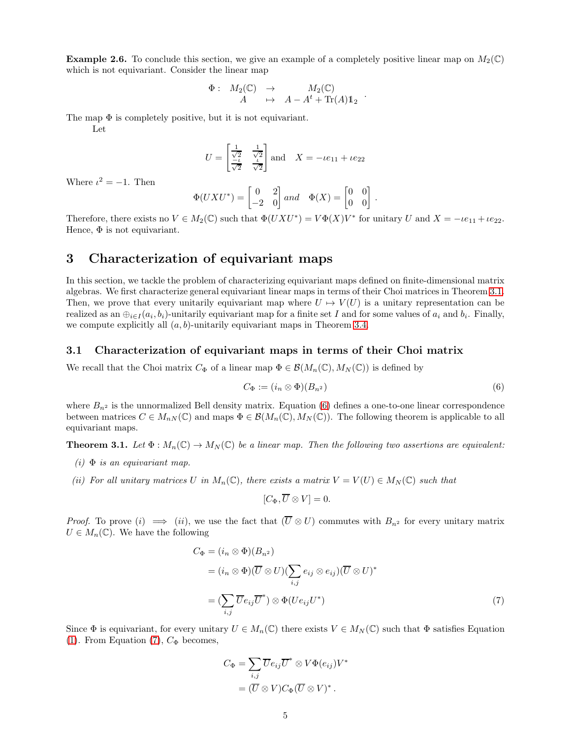**Example 2.6.** To conclude this section, we give an example of a completely positive linear map on  $M_2(\mathbb{C})$ which is not equivariant. Consider the linear map

$$
\begin{array}{cccc}\n\Phi : & M_2(\mathbb{C}) & \to & M_2(\mathbb{C})\\ & A & \mapsto & A-A^t+\text{Tr}(A)\mathbb{1}_2\n\end{array}.
$$

The map  $\Phi$  is completely positive, but it is not equivariant.

Let

$$
U = \begin{bmatrix} \frac{1}{\sqrt{2}} & \frac{1}{\sqrt{2}} \\ \frac{-\iota}{\sqrt{2}} & \frac{\iota}{\sqrt{2}} \end{bmatrix} \text{ and } X = -\iota e_{11} + \iota e_{22}
$$

Where  $\iota^2 = -1$ . Then

$$
\Phi(UXU^*) = \begin{bmatrix} 0 & 2 \\ -2 & 0 \end{bmatrix} and \quad \Phi(X) = \begin{bmatrix} 0 & 0 \\ 0 & 0 \end{bmatrix}.
$$

Therefore, there exists no  $V \in M_2(\mathbb{C})$  such that  $\Phi(UXU^*) = V\Phi(X)V^*$  for unitary U and  $X = -\iota e_{11} + \iota e_{22}$ . Hence,  $\Phi$  is not equivariant.

## <span id="page-4-1"></span>3 Characterization of equivariant maps

In this section, we tackle the problem of characterizing equivariant maps defined on finite-dimensional matrix algebras. We first characterize general equivariant linear maps in terms of their Choi matrices in Theorem [3.1.](#page-4-0) Then, we prove that every unitarily equivariant map where  $U \rightarrow V(U)$  is a unitary representation can be realized as an  $\oplus_{i\in I}(a_i,b_i)$ -unitarily equivariant map for a finite set I and for some values of  $a_i$  and  $b_i$ . Finally, we compute explicitly all  $(a, b)$ -unitarily equivariant maps in Theorem [3.4.](#page-7-0)

#### 3.1 Characterization of equivariant maps in terms of their Choi matrix

We recall that the Choi matrix  $C_{\Phi}$  of a linear map  $\Phi \in \mathcal{B}(M_n(\mathbb{C}), M_N(\mathbb{C}))$  is defined by

<span id="page-4-2"></span>
$$
C_{\Phi} := (i_n \otimes \Phi)(B_{n^2})
$$
\n<sup>(6)</sup>

where  $B_{n^2}$  is the unnormalized Bell density matrix. Equation [\(6\)](#page-4-2) defines a one-to-one linear correspondence between matrices  $C \in M_{nN}(\mathbb{C})$  and maps  $\Phi \in \mathcal{B}(M_n(\mathbb{C}), M_N(\mathbb{C}))$ . The following theorem is applicable to all equivariant maps.

<span id="page-4-0"></span>**Theorem 3.1.** Let  $\Phi : M_n(\mathbb{C}) \to M_N(\mathbb{C})$  be a linear map. Then the following two assertions are equivalent:

- $(i)$   $\Phi$  is an equivariant map.
- (ii) For all unitary matrices U in  $M_n(\mathbb{C})$ , there exists a matrix  $V = V(U) \in M_N(\mathbb{C})$  such that

<span id="page-4-3"></span>
$$
[C_{\Phi}, \overline{U} \otimes V] = 0.
$$

*Proof.* To prove (i)  $\implies$  (ii), we use the fact that  $(\overline{U} \otimes U)$  commutes with  $B_{n^2}$  for every unitary matrix  $U \in M_n(\mathbb{C})$ . We have the following

$$
C_{\Phi} = (i_n \otimes \Phi)(B_{n^2})
$$
  
=  $(i_n \otimes \Phi)(\overline{U} \otimes U)(\sum_{i,j} e_{ij} \otimes e_{ij})(\overline{U} \otimes U)^*$   
=  $(\sum_{i,j} \overline{U}e_{ij}\overline{U}^*) \otimes \Phi(Ue_{ij}U^*)$  (7)

Since  $\Phi$  is equivariant, for every unitary  $U \in M_n(\mathbb{C})$  there exists  $V \in M_N(\mathbb{C})$  such that  $\Phi$  satisfies Equation [\(1\)](#page-1-1). From Equation [\(7\)](#page-4-3),  $C_{\Phi}$  becomes,

$$
C_{\Phi} = \sum_{i,j} \overline{U} e_{ij} \overline{U}^* \otimes V \Phi(e_{ij}) V^*
$$
  
= 
$$
(\overline{U} \otimes V) C_{\Phi} (\overline{U} \otimes V)^*.
$$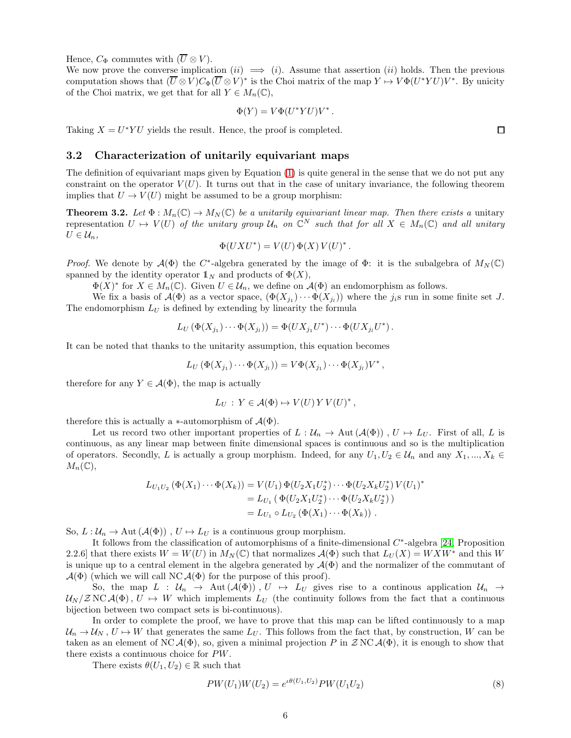Hence,  $C_{\Phi}$  commutes with  $(\overline{U} \otimes V)$ .

We now prove the converse implication  $(ii) \implies (i)$ . Assume that assertion  $(ii)$  holds. Then the previous computation shows that  $(U \otimes V)C_{\Phi}(U \otimes V)^*$  is the Choi matrix of the map  $Y \mapsto V\Phi(U^*YU)V^*$ . By unicity of the Choi matrix, we get that for all  $Y \in M_n(\mathbb{C}),$ 

$$
\Phi(Y) = V\Phi(U^*YU)V^*.
$$

Taking  $X = U^*YU$  yields the result. Hence, the proof is completed.

#### 3.2 Characterization of unitarily equivariant maps

The definition of equivariant maps given by Equation [\(1\)](#page-1-1) is quite general in the sense that we do not put any constraint on the operator  $V(U)$ . It turns out that in the case of unitary invariance, the following theorem implies that  $U \to V(U)$  might be assumed to be a group morphism:

<span id="page-5-1"></span>**Theorem 3.2.** Let  $\Phi : M_n(\mathbb{C}) \to M_N(\mathbb{C})$  be a unitarily equivariant linear map. Then there exists a unitary representation  $U \mapsto V(U)$  of the unitary group  $\mathcal{U}_n$  on  $\mathbb{C}^N$  such that for all  $X \in M_n(\mathbb{C})$  and all unitary  $U \in \mathcal{U}_n$ ,

$$
\Phi(UXU^*) = V(U)\,\Phi(X)\,V(U)^*
$$

.

Proof. We denote by  $\mathcal{A}(\Phi)$  the C<sup>\*</sup>-algebra generated by the image of  $\Phi$ : it is the subalgebra of  $M_N(\mathbb{C})$ spanned by the identity operator  $\mathbb{1}_N$  and products of  $\Phi(X)$ ,

 $\Phi(X)^*$  for  $X \in M_n(\mathbb{C})$ . Given  $U \in \mathcal{U}_n$ , we define on  $\mathcal{A}(\Phi)$  an endomorphism as follows.

We fix a basis of  $\mathcal{A}(\Phi)$  as a vector space,  $(\Phi(X_{j_1}) \cdots \Phi(X_{j_l}))$  where the  $j_i$ s run in some finite set J. The endomorphism  $L_U$  is defined by extending by linearity the formula

$$
L_U(\Phi(X_{j_1})\cdots\Phi(X_{j_l}))=\Phi(UX_{j_1}U^*)\cdots\Phi(UX_{j_l}U^*)\,.
$$

It can be noted that thanks to the unitarity assumption, this equation becomes

$$
L_U\left(\Phi(X_{j_1})\cdots\Phi(X_{j_l})\right)=V\Phi(X_{j_1})\cdots\Phi(X_{j_l})V^*,
$$

therefore for any  $Y \in \mathcal{A}(\Phi)$ , the map is actually

$$
L_U: Y \in \mathcal{A}(\Phi) \mapsto V(U) Y V(U)^*,
$$

therefore this is actually a  $\ast$ -automorphism of  $\mathcal{A}(\Phi)$ .

Let us record two other important properties of  $L : \mathcal{U}_n \to \text{Aut}(\mathcal{A}(\Phi))$ ,  $U \mapsto L_U$ . First of all, L is continuous, as any linear map between finite dimensional spaces is continuous and so is the multiplication of operators. Secondly, L is actually a group morphism. Indeed, for any  $U_1, U_2 \in \mathcal{U}_n$  and any  $X_1, ..., X_k \in$  $M_n(\mathbb{C}),$ 

$$
L_{U_1U_2} (\Phi(X_1) \cdots \Phi(X_k)) = V(U_1) \Phi(U_2X_1U_2^*) \cdots \Phi(U_2X_kU_2^*) V(U_1)^*
$$
  
=  $L_{U_1} (\Phi(U_2X_1U_2^*) \cdots \Phi(U_2X_kU_2^*) )$   
=  $L_{U_1} \circ L_{U_2} (\Phi(X_1) \cdots \Phi(X_k))$ .

So,  $L: \mathcal{U}_n \to \text{Aut}(\mathcal{A}(\Phi))$ ,  $U \mapsto L_U$  is a continuous group morphism.

It follows from the classification of automorphisms of a finite-dimensional  $C^*$ -algebra [\[24,](#page-15-6) Proposition 2.2.6] that there exists  $W = W(U)$  in  $M_N(\mathbb{C})$  that normalizes  $\mathcal{A}(\Phi)$  such that  $L_U(X) = W X W^*$  and this W is unique up to a central element in the algebra generated by  $\mathcal{A}(\Phi)$  and the normalizer of the commutant of  $\mathcal{A}(\Phi)$  (which we will call NC  $\mathcal{A}(\Phi)$  for the purpose of this proof).

So, the map  $L : U_n \to \text{Aut}(\mathcal{A}(\Phi))$ ,  $U \to L_U$  gives rise to a continuous application  $\mathcal{U}_n \to \mathcal{U}_n$  $U_N$   $(ZNC\mathcal{A}(\Phi), U \to W$  which implements  $L_U$  (the continuity follows from the fact that a continuous bijection between two compact sets is bi-continuous).

In order to complete the proof, we have to prove that this map can be lifted continuously to a map  $\mathcal{U}_n \to \mathcal{U}_N$ ,  $U \to W$  that generates the same  $L_U$ . This follows from the fact that, by construction, W can be taken as an element of NC  $\mathcal{A}(\Phi)$ , so, given a minimal projection P in  $\mathcal{Z}$  NC  $\mathcal{A}(\Phi)$ , it is enough to show that there exists a continuous choice for PW.

There exists  $\theta(U_1, U_2) \in \mathbb{R}$  such that

<span id="page-5-0"></span>
$$
PW(U_1)W(U_2) = e^{i\theta(U_1,U_2)}PW(U_1U_2)
$$
\n(8)

 $\Box$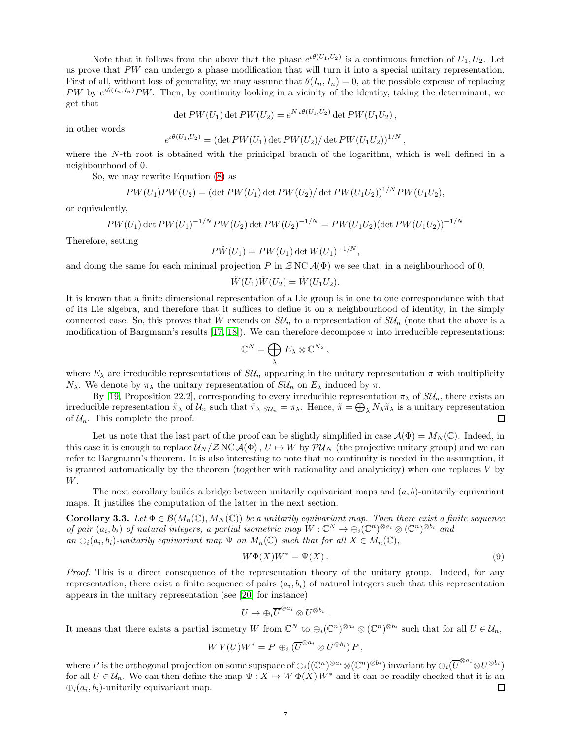Note that it follows from the above that the phase  $e^{i\theta(U_1,U_2)}$  is a continuous function of  $U_1, U_2$ . Let us prove that PW can undergo a phase modification that will turn it into a special unitary representation. First of all, without loss of generality, we may assume that  $\theta(I_n, I_n) = 0$ , at the possible expense of replacing PW by  $e^{i\theta(I_n,I_n)}$ PW. Then, by continuity looking in a vicinity of the identity, taking the determinant, we get that

$$
\det PW(U_1) \det PW(U_2) = e^{N \iota \theta(U_1, U_2)} \det PW(U_1 U_2),
$$

in other words

$$
e^{i\theta(U_1,U_2)} = (\det PW(U_1) \det PW(U_2) / \det PW(U_1U_2))^{1/N},
$$

where the N-th root is obtained with the prinicipal branch of the logarithm, which is well defined in a neighbourhood of 0.

So, we may rewrite Equation [\(8\)](#page-5-0) as

$$
PW(U_1)PW(U_2)=(\det PW(U_1)\det PW(U_2)/\det PW(U_1U_2))^{1/N}PW(U_1U_2),
$$

or equivalently,

$$
PW(U_1)\det PW(U_1)^{-1/N}PW(U_2)\det PW(U_2)^{-1/N}=PW(U_1U_2)(\det PW(U_1U_2))^{-1/N}
$$

Therefore, setting

$$
P\tilde{W}(U_1) = PW(U_1) \det W(U_1)^{-1/N},
$$

and doing the same for each minimal projection P in  $ZNC\mathcal{A}(\Phi)$  we see that, in a neighbourhood of 0,

$$
\tilde{W}(U_1)\tilde{W}(U_2) = \tilde{W}(U_1U_2).
$$

It is known that a finite dimensional representation of a Lie group is in one to one correspondance with that of its Lie algebra, and therefore that it suffices to define it on a neighbourhood of identity, in the simply connected case. So, this proves that W extends on  $SU_n$  to a representation of  $SU_n$  (note that the above is a modification of Bargmann's results [\[17,](#page-15-7) [18\]](#page-15-8)). We can therefore decompose  $\pi$  into irreducible representations:

$$
\mathbb{C}^N=\bigoplus_{\lambda} E_{\lambda}\otimes \mathbb{C}^{N_{\lambda}},
$$

where  $E_{\lambda}$  are irreducible representations of  $SU_n$  appearing in the unitary representation  $\pi$  with multiplicity  $N_{\lambda}$ . We denote by  $\pi_{\lambda}$  the unitary representation of  $SU_n$  on  $E_{\lambda}$  induced by  $\pi$ .

By [\[19,](#page-15-9) Proposition 22.2], corresponding to every irreducible representation  $\pi_{\lambda}$  of  $SU_n$ , there exists an irreducible representation  $\tilde{\pi}_{\lambda}$  of  $\mathcal{U}_n$  such that  $\tilde{\pi}_{\lambda}|_{SU_n} = \pi_{\lambda}$ . Hence,  $\tilde{\pi} = \bigoplus_{\lambda} N_{\lambda} \tilde{\pi}_{\lambda}$  is a unitary representation of  $\mathcal{U}_n$ . This complete the proof.

Let us note that the last part of the proof can be slightly simplified in case  $\mathcal{A}(\Phi) = M_N(\mathbb{C})$ . Indeed, in this case it is enough to replace  $U_N / Z NC \mathcal{A}(\Phi)$ ,  $U \to W$  by  $\mathcal{P}U_N$  (the projective unitary group) and we can refer to Bargmann's theorem. It is also interesting to note that no continuity is needed in the assumption, it is granted automatically by the theorem (together with rationality and analyticity) when one replaces V by W.

<span id="page-6-0"></span>The next corollary builds a bridge between unitarily equivariant maps and  $(a, b)$ -unitarily equivariant maps. It justifies the computation of the latter in the next section.

**Corollary 3.3.** Let  $\Phi \in \mathcal{B}(M_n(\mathbb{C}), M_N(\mathbb{C}))$  be a unitarily equivariant map. Then there exist a finite sequence of pair  $(a_i, b_i)$  of natural integers, a partial isometric map  $W : \mathbb{C}^N \to \bigoplus_i (\mathbb{C}^n)^{\otimes a_i} \otimes (\mathbb{C}^n)^{\otimes b_i}$  and an  $\bigoplus_i (a_i, b_i)$ -unitarily equivariant map  $\Psi$  on  $M_n(\mathbb{C})$  such that for all  $X \in M_n(\mathbb{C})$ ,

$$
W\Phi(X)W^* = \Psi(X). \tag{9}
$$

Proof. This is a direct consequence of the representation theory of the unitary group. Indeed, for any representation, there exist a finite sequence of pairs  $(a_i, b_i)$  of natural integers such that this representation appears in the unitary representation (see [\[20\]](#page-15-10) for instance)

$$
U\mapsto \oplus_i \overline{U}^{\otimes a_i}\otimes U^{\otimes b_i}\ .
$$

It means that there exists a partial isometry W from  $\mathbb{C}^N$  to  $\bigoplus_i(\mathbb{C}^n)^{\otimes a_i} \otimes (\mathbb{C}^n)^{\otimes b_i}$  such that for all  $U \in \mathcal{U}_n$ ,

$$
W V(U) W^* = P \oplus_i (\overline{U}^{\otimes a_i} \otimes U^{\otimes b_i}) P,
$$

where P is the orthogonal projection on some supspace of  $\oplus_i((\mathbb{C}^n)^{\otimes a_i}\otimes(\mathbb{C}^n)^{\otimes b_i})$  invariant by  $\oplus_i(\overline{U}^{\otimes a_i}\otimes U^{\otimes b_i})$ for all  $U \in \mathcal{U}_n$ . We can then define the map  $\Psi : X \mapsto W \Phi(X) W^*$  and it can be readily checked that it is an  $\bigoplus_i (a_i, b_i)$ -unitarily equivariant map.  $\Box$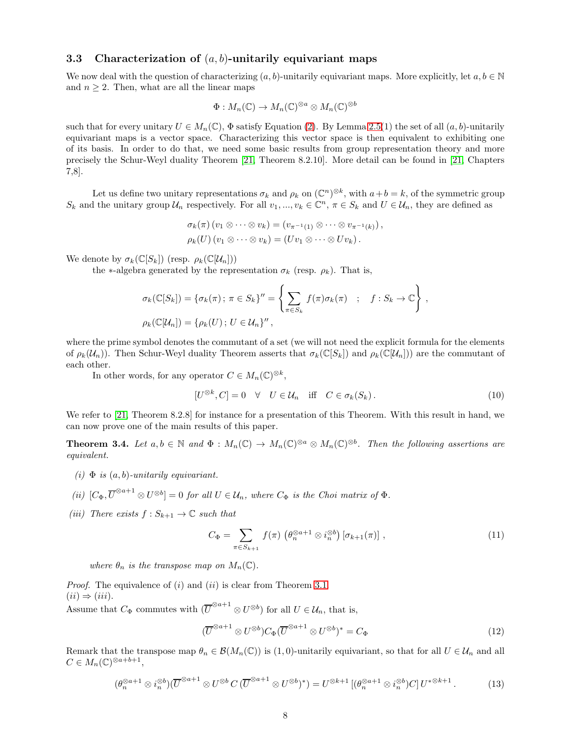#### <span id="page-7-4"></span>3.3 Characterization of  $(a, b)$ -unitarily equivariant maps

We now deal with the question of characterizing  $(a, b)$ -unitarily equivariant maps. More explicitly, let  $a, b \in \mathbb{N}$ and  $n \geq 2$ . Then, what are all the linear maps

$$
\Phi: M_n(\mathbb{C}) \to M_n(\mathbb{C})^{\otimes a} \otimes M_n(\mathbb{C})^{\otimes b}
$$

such that for every unitary  $U \in M_n(\mathbb{C})$ ,  $\Phi$  satisfy Equation [\(2\)](#page-2-1). By Lemma [2.5\(](#page-3-0)1) the set of all  $(a, b)$ -unitarily equivariant maps is a vector space. Characterizing this vector space is then equivalent to exhibiting one of its basis. In order to do that, we need some basic results from group representation theory and more precisely the Schur-Weyl duality Theorem [\[21,](#page-15-11) Theorem 8.2.10]. More detail can be found in [\[21,](#page-15-11) Chapters 7,8].

Let us define two unitary representations  $\sigma_k$  and  $\rho_k$  on  $(\mathbb{C}^n)^{\otimes k}$ , with  $a+b=k$ , of the symmetric group  $S_k$  and the unitary group  $\mathcal{U}_n$  respectively. For all  $v_1, ..., v_k \in \mathbb{C}^n$ ,  $\pi \in S_k$  and  $U \in \mathcal{U}_n$ , they are defined as

$$
\sigma_k(\pi) (v_1 \otimes \cdots \otimes v_k) = (v_{\pi^{-1}(1)} \otimes \cdots \otimes v_{\pi^{-1}(k)}),
$$
  

$$
\rho_k(U) (v_1 \otimes \cdots \otimes v_k) = (Uv_1 \otimes \cdots \otimes Uv_k).
$$

We denote by  $\sigma_k(\mathbb{C}[S_k])$  (resp.  $\rho_k(\mathbb{C}[U_n]))$ )

the ∗-algebra generated by the representation  $\sigma_k$  (resp.  $\rho_k$ ). That is,

$$
\sigma_k(\mathbb{C}[S_k]) = \{\sigma_k(\pi) \, ; \, \pi \in S_k\}' = \left\{ \sum_{\pi \in S_k} f(\pi) \sigma_k(\pi) \quad ; \quad f : S_k \to \mathbb{C} \right\},
$$
  

$$
\rho_k(\mathbb{C}[U_n]) = \{\rho_k(U) \, ; \, U \in \mathcal{U}_n\}'',
$$

where the prime symbol denotes the commutant of a set (we will not need the explicit formula for the elements of  $\rho_k(\mathcal{U}_n)$ . Then Schur-Weyl duality Theorem asserts that  $\sigma_k(\mathbb{C}[S_k])$  and  $\rho_k(\mathbb{C}[U_n])$  are the commutant of each other.

In other words, for any operator  $C \in M_n(\mathbb{C})^{\otimes k}$ ,

<span id="page-7-3"></span>
$$
[U^{\otimes k}, C] = 0 \quad \forall \quad U \in \mathcal{U}_n \quad \text{iff} \quad C \in \sigma_k(S_k). \tag{10}
$$

<span id="page-7-0"></span>We refer to [\[21,](#page-15-11) Theorem 8.2.8] for instance for a presentation of this Theorem. With this result in hand, we can now prove one of the main results of this paper.

**Theorem 3.4.** Let  $a, b \in \mathbb{N}$  and  $\Phi : M_n(\mathbb{C}) \to M_n(\mathbb{C})^{\otimes a} \otimes M_n(\mathbb{C})^{\otimes b}$ . Then the following assertions are equivalent.

- (i)  $\Phi$  is  $(a, b)$ -unitarily equivariant.
- (ii)  $[C_{\Phi}, \overline{U}^{\otimes a+1} \otimes U^{\otimes b}] = 0$  for all  $U \in \mathcal{U}_n$ , where  $C_{\Phi}$  is the Choi matrix of  $\Phi$ .
- (iii) There exists  $f: S_{k+1} \to \mathbb{C}$  such that

$$
C_{\Phi} = \sum_{\pi \in S_{k+1}} f(\pi) \left( \theta_n^{\otimes a+1} \otimes i_n^{\otimes b} \right) [\sigma_{k+1}(\pi)], \qquad (11)
$$

where  $\theta_n$  is the transpose map on  $M_n(\mathbb{C})$ .

*Proof.* The equivalence of  $(i)$  and  $(ii)$  is clear from Theorem [3.1.](#page-4-0)  $(ii) \Rightarrow (iii)$ .

Assume that  $C_{\Phi}$  commutes with  $(\overline{U}^{\otimes a+1} \otimes U^{\otimes b})$  for all  $U \in \mathcal{U}_n$ , that is,

<span id="page-7-2"></span><span id="page-7-1"></span>
$$
(\overline{U}^{\otimes a+1} \otimes U^{\otimes b}) C_{\Phi} (\overline{U}^{\otimes a+1} \otimes U^{\otimes b})^* = C_{\Phi}
$$
\n<sup>(12)</sup>

Remark that the transpose map  $\theta_n \in \mathcal{B}(M_n(\mathbb{C}))$  is (1,0)-unitarily equivariant, so that for all  $U \in \mathcal{U}_n$  and all  $C \in M_n(\mathbb{C})^{\otimes a+b+1},$ 

$$
(\theta_n^{\otimes a+1} \otimes i_n^{\otimes b})(\overline{U}^{\otimes a+1} \otimes U^{\otimes b} C(\overline{U}^{\otimes a+1} \otimes U^{\otimes b})^*) = U^{\otimes k+1} \left[ (\theta_n^{\otimes a+1} \otimes i_n^{\otimes b}) C \right] U^{*\otimes k+1} . \tag{13}
$$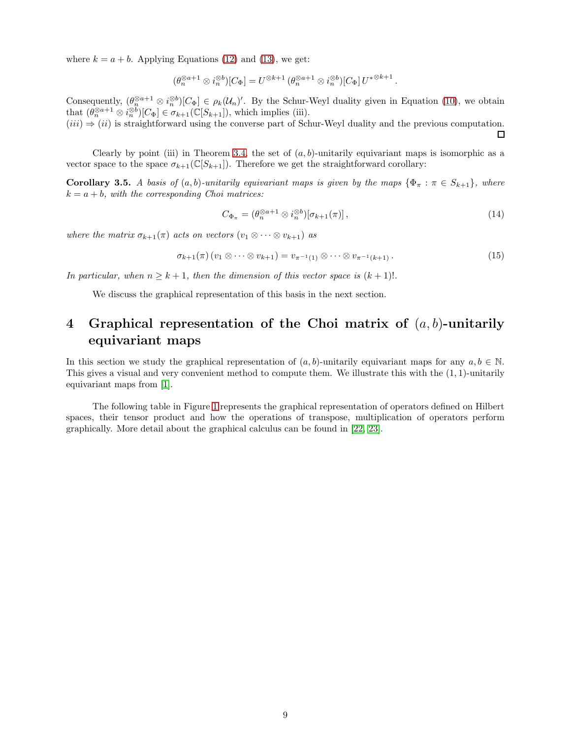where  $k = a + b$ . Applying Equations [\(12\)](#page-7-1) and [\(13\)](#page-7-2), we get:

$$
(\theta_n^{\otimes a+1} \otimes i_n^{\otimes b})[C_{\Phi}] = U^{\otimes k+1} (\theta_n^{\otimes a+1} \otimes i_n^{\otimes b})[C_{\Phi}] U^{*\otimes k+1}.
$$

Consequently,  $(\theta_n^{\otimes a+1} \otimes i_n^{\otimes b})[C_{\Phi}] \in \rho_k(\mathcal{U}_n)'$ . By the Schur-Weyl duality given in Equation [\(10\)](#page-7-3), we obtain that  $(\theta_n^{\otimes a+1} \otimes i_n^{\otimes b})[C_{\Phi}] \in \sigma_{k+1}(\mathbb{C}[S_{k+1}]),$  which implies (iii).

 $(iii) \Rightarrow (ii)$  is straightforward using the converse part of Schur-Weyl duality and the previous computation.  $\Box$ 

Clearly by point (iii) in Theorem [3.4,](#page-7-0) the set of  $(a, b)$ -unitarily equivariant maps is isomorphic as a vector space to the space  $\sigma_{k+1}(\mathbb{C}[S_{k+1}])$ . Therefore we get the straightforward corollary:

**Corollary 3.5.** A basis of  $(a, b)$ -unitarily equivariant maps is given by the maps  $\{\Phi_{\pi} : \pi \in S_{k+1}\}\$ , where  $k = a + b$ , with the corresponding Choi matrices:

<span id="page-8-2"></span>
$$
C_{\Phi_{\pi}} = (\theta_n^{\otimes a+1} \otimes i_n^{\otimes b})[\sigma_{k+1}(\pi)], \qquad (14)
$$

where the matrix  $\sigma_{k+1}(\pi)$  acts on vectors  $(v_1 \otimes \cdots \otimes v_{k+1})$  as

<span id="page-8-1"></span>
$$
\sigma_{k+1}(\pi) (v_1 \otimes \cdots \otimes v_{k+1}) = v_{\pi^{-1}(1)} \otimes \cdots \otimes v_{\pi^{-1}(k+1)}.
$$
\n
$$
(15)
$$

In particular, when  $n \geq k+1$ , then the dimension of this vector space is  $(k+1)!$ .

We discuss the graphical representation of this basis in the next section.

# <span id="page-8-0"></span>4 Graphical representation of the Choi matrix of  $(a, b)$ -unitarily equivariant maps

In this section we study the graphical representation of  $(a, b)$ -unitarily equivariant maps for any  $a, b \in \mathbb{N}$ . This gives a visual and very convenient method to compute them. We illustrate this with the (1, 1)-unitarily equivariant maps from [\[1\]](#page-14-0).

The following table in Figure [1](#page-9-0) represents the graphical representation of operators defined on Hilbert spaces, their tensor product and how the operations of transpose, multiplication of operators perform graphically. More detail about the graphical calculus can be found in [\[22,](#page-15-12) [23\]](#page-15-13).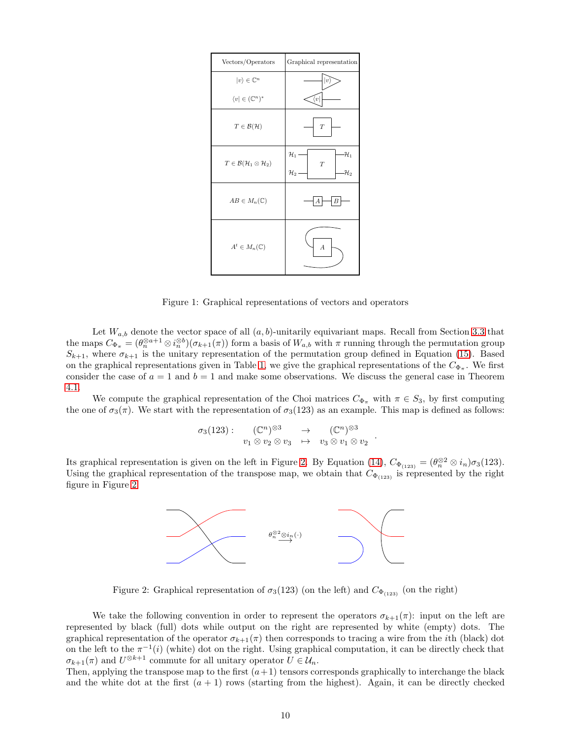| Vectors/Operators                                      | Graphical representation                                                      |  |  |
|--------------------------------------------------------|-------------------------------------------------------------------------------|--|--|
| $ v\rangle\in\mathbb{C}^{n}$                           | $v\rangle$                                                                    |  |  |
| $\langle v   \in (\mathbb{C}^n)^*$                     | $\langle v  $                                                                 |  |  |
| $T \in \mathcal{B}(\mathcal{H})$                       | $\overline{T}$                                                                |  |  |
| $T\in \mathcal{B}(\mathcal{H}_1\otimes \mathcal{H}_2)$ | $\mathcal{H}_1$<br>$\mathcal{H}_1$<br>T<br>$\mathcal{H}_2$<br>$\mathcal{H}_2$ |  |  |
| $AB \in M_n(\mathbb{C})$                               | $\boldsymbol{B}$<br>А                                                         |  |  |
| $A^t \in M_n(\mathbb{C})$                              | $\boldsymbol{A}$                                                              |  |  |

<span id="page-9-0"></span>Figure 1: Graphical representations of vectors and operators

Let  $W_{a,b}$  denote the vector space of all  $(a, b)$ -unitarily equivariant maps. Recall from Section [3.3](#page-7-4) that the maps  $C_{\Phi_{\pi}} = (\theta_n^{\otimes a+1} \otimes i_n^{\otimes b})(\sigma_{k+1}(\pi))$  form a basis of  $W_{a,b}$  with  $\pi$  running through the permutation group  $S_{k+1}$ , where  $\sigma_{k+1}$  is the unitary representation of the permutation group defined in Equation [\(15\)](#page-8-1). Based on the graphical representations given in Table [1,](#page-9-0) we give the graphical representations of the  $C_{\Phi_{\pi}}$ . We first consider the case of  $a = 1$  and  $b = 1$  and make some observations. We discuss the general case in Theorem [4.1.](#page-10-0)

We compute the graphical representation of the Choi matrices  $C_{\Phi_{\pi}}$  with  $\pi \in S_3$ , by first computing the one of  $\sigma_3(\pi)$ . We start with the representation of  $\sigma_3(123)$  as an example. This map is defined as follows:

$$
\sigma_3(123): \quad (\mathbb{C}^n)^{\otimes 3} \rightarrow \quad (\mathbb{C}^n)^{\otimes 3} \n v_1 \otimes v_2 \otimes v_3 \rightarrow v_3 \otimes v_1 \otimes v_2 .
$$

Its graphical representation is given on the left in Figure [2.](#page-9-1) By Equation [\(14\)](#page-8-2),  $C_{\Phi_{(123)}} = (\theta_n^{\otimes 2} \otimes i_n) \sigma_3(123)$ . Using the graphical representation of the transpose map, we obtain that  $C_{\Phi(123)}$  is represented by the right figure in Figure [2.](#page-9-1)



<span id="page-9-1"></span>Figure 2: Graphical representation of  $\sigma_3(123)$  (on the left) and  $C_{\Phi_{(123)}}$  (on the right)

We take the following convention in order to represent the operators  $\sigma_{k+1}(\pi)$ : input on the left are represented by black (full) dots while output on the right are represented by white (empty) dots. The graphical representation of the operator  $\sigma_{k+1}(\pi)$  then corresponds to tracing a wire from the *i*th (black) dot on the left to the  $\pi^{-1}(i)$  (white) dot on the right. Using graphical computation, it can be directly check that  $\sigma_{k+1}(\pi)$  and  $U^{\otimes k+1}$  commute for all unitary operator  $U \in \mathcal{U}_n$ .

Then, applying the transpose map to the first  $(a+1)$  tensors corresponds graphically to interchange the black and the white dot at the first  $(a + 1)$  rows (starting from the highest). Again, it can be directly checked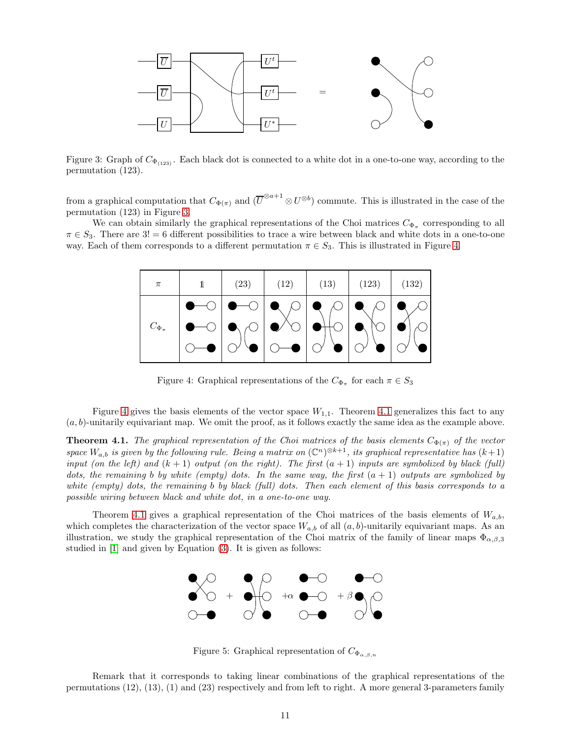

<span id="page-10-1"></span>Figure 3: Graph of  $C_{\Phi_{(123)}}$ . Each black dot is connected to a white dot in a one-to-one way, according to the permutation (123).

from a graphical computation that  $C_{\Phi(\pi)}$  and  $(\overline{U}^{\otimes a+1}\otimes U^{\otimes b})$  commute. This is illustrated in the case of the permutation (123) in Figure [3.](#page-10-1)

We can obtain similarly the graphical representations of the Choi matrices  $C_{\Phi_{\pi}}$  corresponding to all  $\pi \in S_3$ . There are 3! = 6 different possibilities to trace a wire between black and white dots in a one-to-one way. Each of them corresponds to a different permutation  $\pi \in S_3$ . This is illustrated in Figure [4.](#page-10-2)

| $\pi$            | (23) | (12)                                                                                                                                                                                                                                                                                                                                                                                                               | (13) | $(123)$ $(132)$ |  |
|------------------|------|--------------------------------------------------------------------------------------------------------------------------------------------------------------------------------------------------------------------------------------------------------------------------------------------------------------------------------------------------------------------------------------------------------------------|------|-----------------|--|
| $C_{\Phi_{\pi}}$ |      | $\begin{picture}(150,10) \put(0,0){\line(1,0){10}} \put(15,0){\line(1,0){10}} \put(15,0){\line(1,0){10}} \put(15,0){\line(1,0){10}} \put(15,0){\line(1,0){10}} \put(15,0){\line(1,0){10}} \put(15,0){\line(1,0){10}} \put(15,0){\line(1,0){10}} \put(15,0){\line(1,0){10}} \put(15,0){\line(1,0){10}} \put(15,0){\line(1,0){10}} \put(15,0){\line($<br>●─○│● <sub>\/</sub> ○│● <sup>/</sup> ◇│● <del>\</del>  ○│●∖ |      | $\gamma$        |  |

<span id="page-10-2"></span>Figure 4: Graphical representations of the  $C_{\Phi_{\pi}}$  for each  $\pi \in S_3$ 

<span id="page-10-0"></span>Figure [4](#page-10-2) gives the basis elements of the vector space  $W_{1,1}$ . Theorem [4.1](#page-10-0) generalizes this fact to any  $(a, b)$ -unitarily equivariant map. We omit the proof, as it follows exactly the same idea as the example above.

**Theorem 4.1.** The graphical representation of the Choi matrices of the basis elements  $C_{\Phi(\pi)}$  of the vector space  $W_{a,b}$  is given by the following rule. Being a matrix on  $(\mathbb{C}^n)^{\otimes k+1}$ , its graphical representative has  $(k+1)$ input (on the left) and  $(k + 1)$  output (on the right). The first  $(a + 1)$  inputs are symbolized by black (full) dots, the remaining b by white (empty) dots. In the same way, the first  $(a + 1)$  outputs are symbolized by white (empty) dots, the remaining b by black (full) dots. Then each element of this basis corresponds to a possible wiring between black and white dot, in a one-to-one way.

Theorem [4.1](#page-10-0) gives a graphical representation of the Choi matrices of the basis elements of  $W_{a,b}$ , which completes the characterization of the vector space  $W_{a,b}$  of all  $(a,b)$ -unitarily equivariant maps. As an illustration, we study the graphical representation of the Choi matrix of the family of linear maps  $\Phi_{\alpha,\beta,3}$ studied in [\[1\]](#page-14-0) and given by Equation [\(3\)](#page-3-1). It is given as follows:



Figure 5: Graphical representation of  $C_{\Phi_{\alpha\beta,n}}$ 

Remark that it corresponds to taking linear combinations of the graphical representations of the permutations (12), (13), (1) and (23) respectively and from left to right. A more general 3-parameters family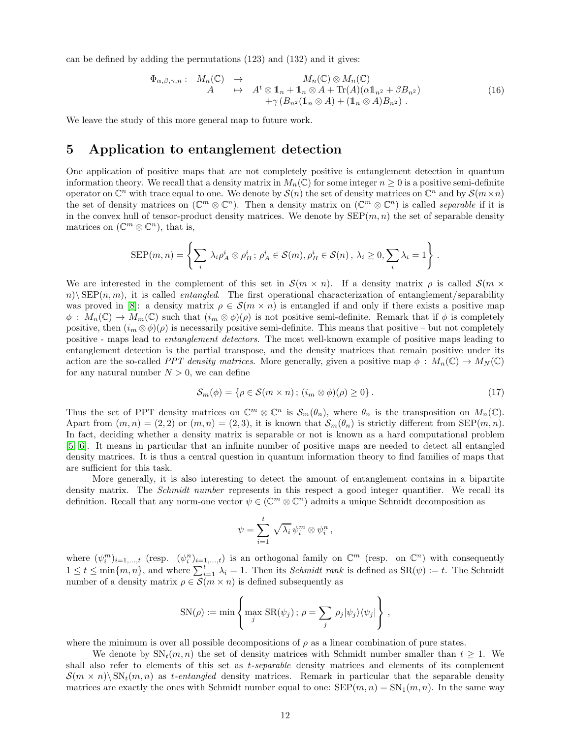can be defined by adding the permutations (123) and (132) and it gives:

$$
\Phi_{\alpha,\beta,\gamma,n}: M_n(\mathbb{C}) \to M_n(\mathbb{C}) \to M_n(\mathbb{C})
$$
\n
$$
A \mapsto A^t \otimes 1_n + 1_n \otimes A + \text{Tr}(A)(\alpha 1_{n^2} + \beta B_{n^2})
$$
\n
$$
+ \gamma (B_{n^2}(1_n \otimes A) + (1_n \otimes A)B_{n^2}). \tag{16}
$$

We leave the study of this more general map to future work.

# <span id="page-11-0"></span>5 Application to entanglement detection

One application of positive maps that are not completely positive is entanglement detection in quantum information theory. We recall that a density matrix in  $M_n(\mathbb{C})$  for some integer  $n \geq 0$  is a positive semi-definite operator on  $\mathbb{C}^n$  with trace equal to one. We denote by  $\mathcal{S}(n)$  the set of density matrices on  $\mathbb{C}^n$  and by  $\mathcal{S}(m \times n)$ the set of density matrices on  $(\mathbb{C}^m \otimes \mathbb{C}^n)$ . Then a density matrix on  $(\mathbb{C}^m \otimes \mathbb{C}^n)$  is called *separable* if it is in the convex hull of tensor-product density matrices. We denote by  $\text{SEP}(m, n)$  the set of separable density matrices on  $(\mathbb{C}^m \otimes \mathbb{C}^n)$ , that is,

$$
SEP(m, n) = \left\{ \sum_{i} \lambda_i \rho_A^i \otimes \rho_B^i \, ; \, \rho_A^i \in \mathcal{S}(m), \rho_B^i \in \mathcal{S}(n), \, \lambda_i \ge 0, \sum_{i} \lambda_i = 1 \right\} \, .
$$

We are interested in the complement of this set in  $\mathcal{S}(m \times n)$ . If a density matrix  $\rho$  is called  $\mathcal{S}(m \times n)$  $n(\mathcal{E})\in \mathbb{R}$  is called entangled. The first operational characterization of entanglement/separability was proved in [\[8\]](#page-14-7): a density matrix  $\rho \in \mathcal{S}(m \times n)$  is entangled if and only if there exists a positive map  $\phi: M_n(\mathbb{C}) \to M_m(\mathbb{C})$  such that  $(i_m \otimes \phi)(\rho)$  is not positive semi-definite. Remark that if  $\phi$  is completely positive, then  $(i_m \otimes \phi)(\rho)$  is necessarily positive semi-definite. This means that positive – but not completely positive - maps lead to entanglement detectors. The most well-known example of positive maps leading to entanglement detection is the partial transpose, and the density matrices that remain positive under its action are the so-called PPT density matrices. More generally, given a positive map  $\phi: M_n(\mathbb{C}) \to M_N(\mathbb{C})$ for any natural number  $N > 0$ , we can define

<span id="page-11-1"></span>
$$
S_m(\phi) = \{ \rho \in \mathcal{S}(m \times n) \, ; \, (i_m \otimes \phi)(\rho) \ge 0 \} \,. \tag{17}
$$

Thus the set of PPT density matrices on  $\mathbb{C}^m \otimes \mathbb{C}^n$  is  $\mathcal{S}_m(\theta_n)$ , where  $\theta_n$  is the transposition on  $M_n(\mathbb{C})$ . Apart from  $(m, n) = (2, 2)$  or  $(m, n) = (2, 3)$ , it is known that  $\mathcal{S}_m(\theta_n)$  is strictly different from SEP $(m, n)$ . In fact, deciding whether a density matrix is separable or not is known as a hard computational problem [\[5,](#page-14-4) [6\]](#page-14-5). It means in particular that an infinite number of positive maps are needed to detect all entangled density matrices. It is thus a central question in quantum information theory to find families of maps that are sufficient for this task.

More generally, it is also interesting to detect the amount of entanglement contains in a bipartite density matrix. The *Schmidt number* represents in this respect a good integer quantifier. We recall its definition. Recall that any norm-one vector  $\psi \in (\mathbb{C}^m \otimes \mathbb{C}^n)$  admits a unique Schmidt decomposition as

$$
\psi = \sum_{i=1}^t \sqrt{\lambda_i} \, \psi_i^m \otimes \psi_i^n \,,
$$

where  $(\psi_i^m)_{i=1,\ldots,t}$  (resp.  $(\psi_i^n)_{i=1,\ldots,t}$ ) is an orthogonal family on  $\mathbb{C}^m$  (resp. on  $\mathbb{C}^n$ ) with consequently  $1 \leq t \leq \min\{m, n\}$ , and where  $\sum_{i=1}^{t} \lambda_i = 1$ . Then its *Schmidt rank* is defined as  $\text{SR}(\psi) := t$ . The Schmidt number of a density matrix  $\rho \in \mathcal{S}(m \times n)$  is defined subsequently as

$$
SN(\rho) := \min \left\{ \max_{j} SR(\psi_j) ; \rho = \sum_{j} \rho_j |\psi_j\rangle \langle \psi_j| \right\},\,
$$

where the minimum is over all possible decompositions of  $\rho$  as a linear combination of pure states.

We denote by  $SN_t(m, n)$  the set of density matrices with Schmidt number smaller than  $t \geq 1$ . We shall also refer to elements of this set as t-separable density matrices and elements of its complement  $\mathcal{S}(m \times n) \backslash \text{SN}_t(m,n)$  as t-entangled density matrices. Remark in particular that the separable density matrices are exactly the ones with Schmidt number equal to one:  $\text{SEP}(m, n) = \text{SN}_1(m, n)$ . In the same way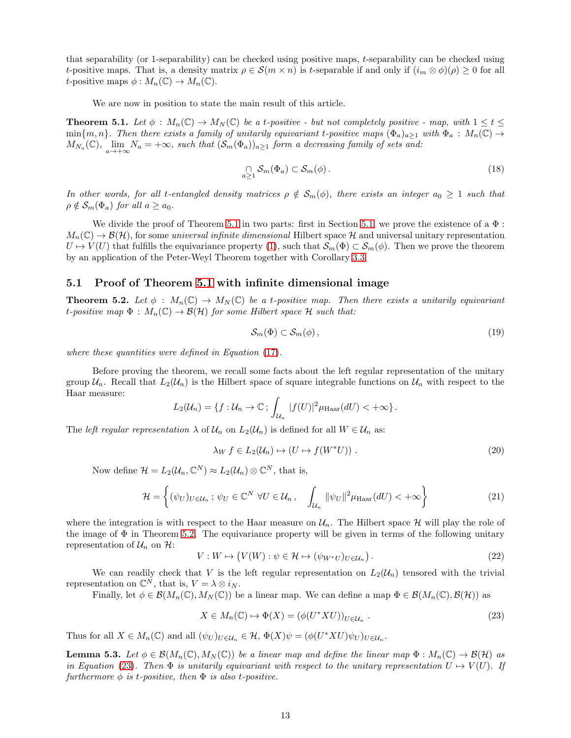that separability (or 1-separability) can be checked using positive maps, t-separability can be checked using t-positive maps. That is, a density matrix  $\rho \in \mathcal{S}(m \times n)$  is t-separable if and only if  $(i_m \otimes \phi)(\rho) \geq 0$  for all *t*-positive maps  $\phi : M_n(\mathbb{C}) \to M_n(\mathbb{C})$ .

We are now in position to state the main result of this article.

<span id="page-12-0"></span>**Theorem 5.1.** Let  $\phi : M_n(\mathbb{C}) \to M_N(\mathbb{C})$  be a t-positive - but not completely positive - map, with  $1 \le t \le$  $\min\{m,n\}$ . Then there exists a family of unitarily equivariant t-positive maps  $(\Phi_a)_{a>1}$  with  $\Phi_a: M_n(\mathbb{C}) \to$  $M_{N_a}(\mathbb{C})$ ,  $\lim_{a \to +\infty} N_a = +\infty$ , such that  $(\mathcal{S}_m(\Phi_a))_{a \geq 1}$  form a decreasing family of sets and:

$$
\bigcap_{a \ge 1} \mathcal{S}_m(\Phi_a) \subset \mathcal{S}_m(\phi). \tag{18}
$$

In other words, for all t-entangled density matrices  $\rho \notin S_m(\phi)$ , there exists an integer  $a_0 \geq 1$  such that  $\rho \notin \mathcal{S}_m(\Phi_a)$  for all  $a \geq a_0$ .

We divide the proof of Theorem [5.1](#page-12-0) in two parts: first in Section [5.1,](#page-12-1) we prove the existence of a  $\Phi$ :  $M_n(\mathbb{C}) \to \mathcal{B}(\mathcal{H})$ , for some universal infinite dimensional Hilbert space H and universal unitary representation  $U \mapsto V(U)$  that fulfills the equivariance property [\(1\)](#page-1-1), such that  $\mathcal{S}_m(\Phi) \subset \mathcal{S}_m(\phi)$ . Then we prove the theorem by an application of the Peter-Weyl Theorem together with Corollary [3.3.](#page-6-0)

#### <span id="page-12-2"></span><span id="page-12-1"></span>5.1 Proof of Theorem [5.1](#page-12-0) with infinite dimensional image

**Theorem 5.2.** Let  $\phi$  :  $M_n(\mathbb{C}) \to M_N(\mathbb{C})$  be a t-positive map. Then there exists a unitarily equivariant t-positive map  $\Phi : M_n(\mathbb{C}) \to \mathcal{B}(\mathcal{H})$  for some Hilbert space  $\mathcal H$  such that:

$$
\mathcal{S}_m(\Phi) \subset \mathcal{S}_m(\phi),\tag{19}
$$

where these quantities were defined in Equation  $(17)$ .

Before proving the theorem, we recall some facts about the left regular representation of the unitary group  $\mathcal{U}_n$ . Recall that  $L_2(\mathcal{U}_n)$  is the Hilbert space of square integrable functions on  $\mathcal{U}_n$  with respect to the Haar measure:

$$
L_2(\mathcal{U}_n) = \{f : \mathcal{U}_n \to \mathbb{C} \, ; \, \int_{\mathcal{U}_n} |f(U)|^2 \mu_{\text{Haar}}(dU) < +\infty \} \, .
$$

The *left regular representation*  $\lambda$  of  $\mathcal{U}_n$  on  $L_2(\mathcal{U}_n)$  is defined for all  $W \in \mathcal{U}_n$  as:

<span id="page-12-4"></span>
$$
\lambda_W f \in L_2(\mathcal{U}_n) \mapsto (U \mapsto f(W^*U)) \tag{20}
$$

Now define  $\mathcal{H} = L_2(\mathcal{U}_n, \mathbb{C}^N) \approx L_2(\mathcal{U}_n) \otimes \mathbb{C}^N$ , that is,

<span id="page-12-5"></span>
$$
\mathcal{H} = \left\{ (\psi_U)_{U \in \mathcal{U}_n} \, ; \, \psi_U \in \mathbb{C}^N \, \forall U \in \mathcal{U}_n, \quad \int_{\mathcal{U}_n} ||\psi_U||^2 \mu_{\text{Haar}}(dU) < +\infty \right\} \tag{21}
$$

where the integration is with respect to the Haar measure on  $\mathcal{U}_n$ . The Hilbert space H will play the role of the image of  $\Phi$  in Theorem [5.2.](#page-12-2) The equivariance property will be given in terms of the following unitary representation of  $\mathcal{U}_n$  on  $\mathcal{H}$ :

$$
V: W \mapsto (V(W) : \psi \in \mathcal{H} \mapsto (\psi_{W^*U})_{U \in \mathcal{U}_n}).
$$
\n
$$
(22)
$$

We can readily check that V is the left regular representation on  $L_2(\mathcal{U}_n)$  tensored with the trivial representation on  $\mathbb{C}^N$ , that is,  $V = \lambda \otimes i_N$ .

Finally, let  $\phi \in \mathcal{B}(M_n(\mathbb{C}), M_N(\mathbb{C}))$  be a linear map. We can define a map  $\Phi \in \mathcal{B}(M_n(\mathbb{C}), \mathcal{B}(\mathcal{H}))$  as

<span id="page-12-3"></span>
$$
X \in M_n(\mathbb{C}) \mapsto \Phi(X) = (\phi(U^*XU))_{U \in \mathcal{U}_n} .
$$
\n(23)

<span id="page-12-6"></span>Thus for all  $X \in M_n(\mathbb{C})$  and all  $(\psi_U)_{U \in \mathcal{U}_n} \in \mathcal{H}$ ,  $\Phi(X)\psi = (\phi(U^*XU)\psi_U)_{U \in \mathcal{U}_n}$ .

**Lemma 5.3.** Let  $\phi \in \mathcal{B}(M_n(\mathbb{C}), M_N(\mathbb{C}))$  be a linear map and define the linear map  $\Phi : M_n(\mathbb{C}) \to \mathcal{B}(\mathcal{H})$  as in Equation [\(23\)](#page-12-3). Then  $\Phi$  is unitarily equivariant with respect to the unitary representation  $U \mapsto V(U)$ . If furthermore  $\phi$  is t-positive, then  $\Phi$  is also t-positive.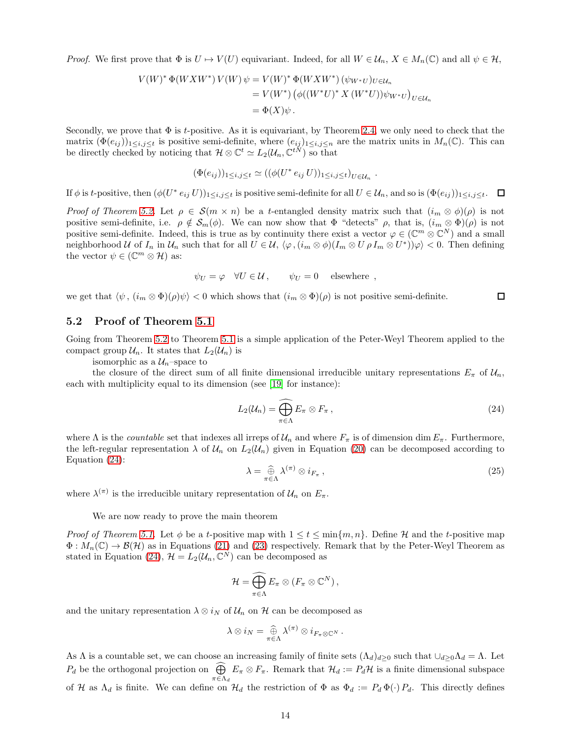*Proof.* We first prove that  $\Phi$  is  $U \to V(U)$  equivariant. Indeed, for all  $W \in \mathcal{U}_n$ ,  $X \in M_n(\mathbb{C})$  and all  $\psi \in \mathcal{H}$ ,

$$
V(W)^* \Phi(W X W^*) V(W) \psi = V(W)^* \Phi(W X W^*) (\psi_{W^*U})_{U \in \mathcal{U}_n}
$$
  
=  $V(W^*) (\phi((W^*U)^* X (W^*U)) \psi_{W^*U})_{U \in \mathcal{U}_n}$   
=  $\Phi(X) \psi$ .

Secondly, we prove that  $\Phi$  is t-positive. As it is equivariant, by Theorem [2.4,](#page-2-0) we only need to check that the matrix  $(\Phi(e_{ij}))_{1\leq i,j\leq t}$  is positive semi-definite, where  $(e_{ij})_{1\leq i,j\leq n}$  are the matrix units in  $M_n(\mathbb{C})$ . This can be directly checked by noticing that  $\mathcal{H} \otimes \mathbb{C}^t \simeq L_2(\mathcal{U}_n, \mathbb{C}^{tN})$  so that

$$
(\Phi(e_{ij}))_{1\leq i,j\leq t} \simeq ((\phi(U^* e_{ij} U))_{1\leq i,j\leq t})_{U\in\mathcal{U}_n}
$$

If  $\phi$  is t-positive, then  $(\phi(U^* e_{ij} U))_{1 \le i,j \le t}$  is positive semi-definite for all  $U \in \mathcal{U}_n$ , and so is  $(\Phi(e_{ij}))_{1 \le i,j \le t}$ .

Proof of Theorem [5.2.](#page-12-2) Let  $\rho \in \mathcal{S}(m \times n)$  be a t-entangled density matrix such that  $(i_m \otimes \phi)(\rho)$  is not positive semi-definite, i.e.  $\rho \notin S_m(\phi)$ . We can now show that  $\Phi$  "detects"  $\rho$ , that is,  $(i_m \otimes \Phi)(\rho)$  is not positive semi-definite. Indeed, this is true as by continuity there exist a vector  $\varphi \in (\mathbb{C}^m \otimes \mathbb{C}^N)$  and a small neighborhood U of  $I_n$  in  $\mathcal{U}_n$  such that for all  $U \in \mathcal{U}$ ,  $\langle \varphi, (i_m \otimes \phi)(I_m \otimes U \rho I_m \otimes U^*) \varphi \rangle < 0$ . Then defining the vector  $\psi \in (\mathbb{C}^m \otimes \mathcal{H})$  as:

$$
\psi_U = \varphi \quad \forall U \in \mathcal{U} \,, \qquad \psi_U = 0 \quad \text{ elsewhere } ,
$$

we get that  $\langle \psi, (i_m \otimes \Phi)(\rho) \psi \rangle < 0$  which shows that  $(i_m \otimes \Phi)(\rho)$  is not positive semi-definite.  $\Box$ 

#### 5.2 Proof of Theorem [5.1](#page-12-0)

Going from Theorem [5.2](#page-12-2) to Theorem [5.1](#page-12-0) is a simple application of the Peter-Weyl Theorem applied to the compact group  $\mathcal{U}_n$ . It states that  $L_2(\mathcal{U}_n)$  is

isomorphic as a  $\mathcal{U}_n$ -space to

the closure of the direct sum of all finite dimensional irreducible unitary representations  $E_{\pi}$  of  $\mathcal{U}_n$ , each with multiplicity equal to its dimension (see [\[19\]](#page-15-9) for instance):

<span id="page-13-0"></span>
$$
L_2(\mathcal{U}_n) = \widehat{\bigoplus_{\pi \in \Lambda} E_{\pi}} \otimes F_{\pi}, \qquad (24)
$$

.

where  $\Lambda$  is the *countable* set that indexes all irreps of  $\mathcal{U}_n$  and where  $F_\pi$  is of dimension dim  $E_\pi$ . Furthermore, the left-regular representation  $\lambda$  of  $\mathcal{U}_n$  on  $L_2(\mathcal{U}_n)$  given in Equation [\(20\)](#page-12-4) can be decomposed according to Equation [\(24\)](#page-13-0):

$$
\lambda = \widehat{\bigoplus}_{\pi \in \Lambda} \lambda^{(\pi)} \otimes i_{F_{\pi}} , \qquad (25)
$$

where  $\lambda^{(\pi)}$  is the irreducible unitary representation of  $\mathcal{U}_n$  on  $E_{\pi}$ .

We are now ready to prove the main theorem

*Proof of Theorem [5.1.](#page-12-0)* Let  $\phi$  be a t-positive map with  $1 \leq t \leq \min\{m, n\}$ . Define H and the t-positive map  $\Phi: M_n(\mathbb{C}) \to \mathcal{B}(\mathcal{H})$  as in Equations [\(21\)](#page-12-5) and [\(23\)](#page-12-3) respectively. Remark that by the Peter-Weyl Theorem as stated in Equation [\(24\)](#page-13-0),  $\mathcal{H} = L_2(\mathcal{U}_n, \mathbb{C}^N)$  can be decomposed as

$$
\mathcal{H}=\widehat{\bigoplus_{\pi\in\Lambda}E_{\pi}}\otimes(F_{\pi}\otimes\mathbb{C}^N)\,,
$$

and the unitary representation  $\lambda \otimes i_N$  of  $\mathcal{U}_n$  on  $\mathcal{H}$  can be decomposed as

$$
\lambda \otimes i_N = \bigoplus_{\pi \in \Lambda} \lambda^{(\pi)} \otimes i_{F_{\pi} \otimes \mathbb{C}^N}.
$$

As  $\Lambda$  is a countable set, we can choose an increasing family of finite sets  $(\Lambda_d)_{d\geq 0}$  such that  $\cup_{d\geq 0}\Lambda_d = \Lambda$ . Let  $P_d$  be the orthogonal projection on  $\widehat{\bigoplus}$  $\pi \in \Lambda_d$  $E_{\pi} \otimes F_{\pi}$ . Remark that  $\mathcal{H}_d := P_d \mathcal{H}$  is a finite dimensional subspace of H as  $\Lambda_d$  is finite. We can define on  $\mathcal{H}_d$  the restriction of  $\Phi$  as  $\Phi_d := P_d \Phi(\cdot) P_d$ . This directly defines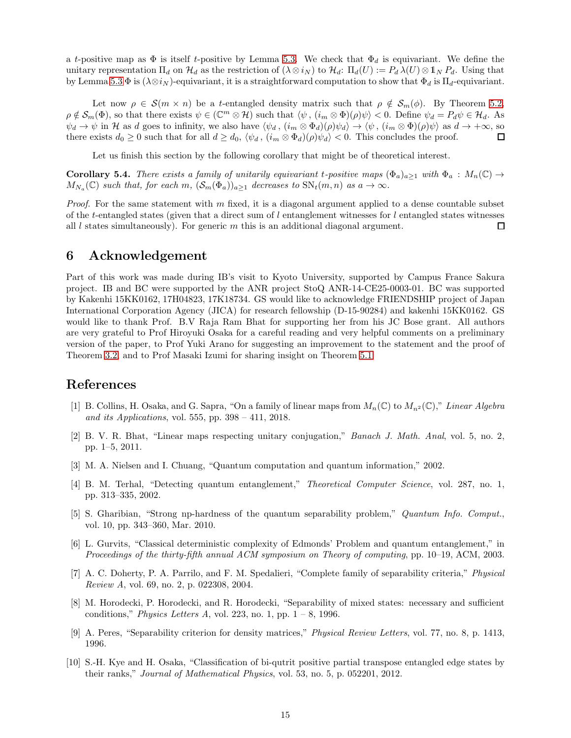a t-positive map as  $\Phi$  is itself t-positive by Lemma [5.3.](#page-12-6) We check that  $\Phi_d$  is equivariant. We define the unitary representation  $\Pi_d$  on  $\mathcal{H}_d$  as the restriction of  $(\lambda \otimes i_N)$  to  $\mathcal{H}_d$ :  $\Pi_d(U) := P_d \lambda(U) \otimes \mathbb{1}_N P_d$ . Using that by Lemma [5.3](#page-12-6)  $\Phi$  is  $(\lambda \otimes i_N)$ -equivariant, it is a straightforward computation to show that  $\Phi_d$  is  $\Pi_d$ -equivariant.

Let now  $\rho \in \mathcal{S}(m \times n)$  be a t-entangled density matrix such that  $\rho \notin \mathcal{S}_m(\phi)$ . By Theorem [5.2,](#page-12-2)  $\rho \notin \mathcal{S}_m(\Phi)$ , so that there exists  $\psi \in (\mathbb{C}^m \otimes \mathcal{H})$  such that  $\langle \psi, (i_m \otimes \Phi)(\rho) \psi \rangle < 0$ . Define  $\psi_d = P_d \psi \in \mathcal{H}_d$ . As  $\psi_d \to \psi$  in H as d goes to infinity, we also have  $\langle \psi_d, (i_m \otimes \Phi_d)(\rho)\psi_d \rangle \to \langle \psi, (i_m \otimes \Phi)(\rho)\psi \rangle$  as  $d \to +\infty$ , so there exists  $d_0 \geq 0$  such that for all  $d \geq d_0$ ,  $\langle \psi_d, (i_m \otimes \Phi_d)(\rho) \psi_d \rangle < 0$ . This concludes the proof.  $\Box$ 

Let us finish this section by the following corollary that might be of theoretical interest.

**Corollary 5.4.** There exists a family of unitarily equivariant t-positive maps  $(\Phi_a)_{a\geq 1}$  with  $\Phi_a: M_n(\mathbb{C}) \to$  $M_{N_a}(\mathbb{C})$  such that, for each m,  $(\mathcal{S}_m(\Phi_a))_{a \geq 1}$  decreases to  $\text{SN}_t(m,n)$  as  $a \to \infty$ .

Proof. For the same statement with m fixed, it is a diagonal argument applied to a dense countable subset of the t-entangled states (given that a direct sum of  $l$  entanglement witnesses for  $l$  entangled states witnesses all  $l$  states simultaneously). For generic  $m$  this is an additional diagonal argument.  $\Box$ 

### 6 Acknowledgement

Part of this work was made during IB's visit to Kyoto University, supported by Campus France Sakura project. IB and BC were supported by the ANR project StoQ ANR-14-CE25-0003-01. BC was supported by Kakenhi 15KK0162, 17H04823, 17K18734. GS would like to acknowledge FRIENDSHIP project of Japan International Corporation Agency (JICA) for research fellowship (D-15-90284) and kakenhi 15KK0162. GS would like to thank Prof. B.V Raja Ram Bhat for supporting her from his JC Bose grant. All authors are very grateful to Prof Hiroyuki Osaka for a careful reading and very helpful comments on a preliminary version of the paper, to Prof Yuki Arano for suggesting an improvement to the statement and the proof of Theorem [3.2,](#page-5-1) and to Prof Masaki Izumi for sharing insight on Theorem [5.1.](#page-12-0)

# <span id="page-14-0"></span>References

- [1] B. Collins, H. Osaka, and G. Sapra, "On a family of linear maps from  $M_n(\mathbb{C})$  to  $M_{n^2}(\mathbb{C})$ ," Linear Algebra and its Applications, vol. 555, pp.  $398 - 411$ , 2018.
- <span id="page-14-1"></span>[2] B. V. R. Bhat, "Linear maps respecting unitary conjugation," Banach J. Math. Anal, vol. 5, no. 2, pp. 1–5, 2011.
- <span id="page-14-3"></span><span id="page-14-2"></span>[3] M. A. Nielsen and I. Chuang, "Quantum computation and quantum information," 2002.
- [4] B. M. Terhal, "Detecting quantum entanglement," Theoretical Computer Science, vol. 287, no. 1, pp. 313–335, 2002.
- <span id="page-14-4"></span>[5] S. Gharibian, "Strong np-hardness of the quantum separability problem," Quantum Info. Comput., vol. 10, pp. 343–360, Mar. 2010.
- <span id="page-14-5"></span>[6] L. Gurvits, "Classical deterministic complexity of Edmonds' Problem and quantum entanglement," in Proceedings of the thirty-fifth annual ACM symposium on Theory of computing, pp. 10–19, ACM, 2003.
- <span id="page-14-6"></span>[7] A. C. Doherty, P. A. Parrilo, and F. M. Spedalieri, "Complete family of separability criteria," Physical Review A, vol. 69, no. 2, p. 022308, 2004.
- <span id="page-14-7"></span>[8] M. Horodecki, P. Horodecki, and R. Horodecki, "Separability of mixed states: necessary and sufficient conditions," Physics Letters A, vol. 223, no. 1, pp.  $1 - 8$ , 1996.
- <span id="page-14-8"></span>[9] A. Peres, "Separability criterion for density matrices," Physical Review Letters, vol. 77, no. 8, p. 1413, 1996.
- [10] S.-H. Kye and H. Osaka, "Classification of bi-qutrit positive partial transpose entangled edge states by their ranks," Journal of Mathematical Physics, vol. 53, no. 5, p. 052201, 2012.